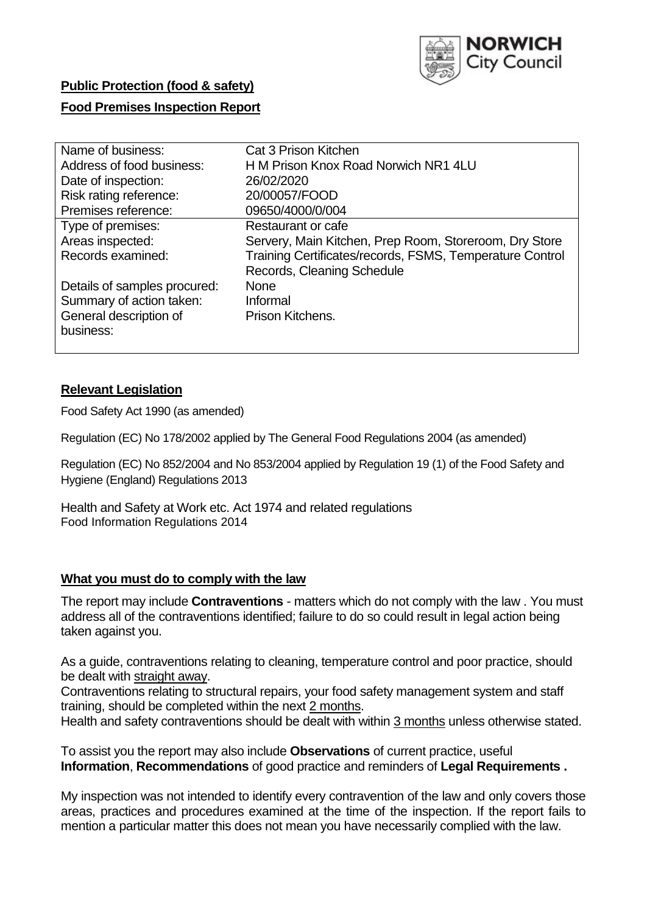

# **Public Protection (food & safety)**

## **Food Premises Inspection Report**

| Name of business:            | Cat 3 Prison Kitchen                                     |
|------------------------------|----------------------------------------------------------|
| Address of food business:    | H M Prison Knox Road Norwich NR1 4LU                     |
| Date of inspection:          | 26/02/2020                                               |
| Risk rating reference:       | 20/00057/FOOD                                            |
| Premises reference:          | 09650/4000/0/004                                         |
| Type of premises:            | Restaurant or cafe                                       |
| Areas inspected:             | Servery, Main Kitchen, Prep Room, Storeroom, Dry Store   |
| Records examined:            | Training Certificates/records, FSMS, Temperature Control |
|                              | Records, Cleaning Schedule                               |
| Details of samples procured: | <b>None</b>                                              |
| Summary of action taken:     | Informal                                                 |
| General description of       | Prison Kitchens.                                         |
| business:                    |                                                          |
|                              |                                                          |

## **Relevant Legislation**

Food Safety Act 1990 (as amended)

Regulation (EC) No 178/2002 applied by The General Food Regulations 2004 (as amended)

Regulation (EC) No 852/2004 and No 853/2004 applied by Regulation 19 (1) of the Food Safety and Hygiene (England) Regulations 2013

Health and Safety at Work etc. Act 1974 and related regulations Food Information Regulations 2014

## **What you must do to comply with the law**

The report may include **Contraventions** - matters which do not comply with the law . You must address all of the contraventions identified; failure to do so could result in legal action being taken against you.

As a guide, contraventions relating to cleaning, temperature control and poor practice, should be dealt with straight away.

Contraventions relating to structural repairs, your food safety management system and staff training, should be completed within the next 2 months.

Health and safety contraventions should be dealt with within 3 months unless otherwise stated.

To assist you the report may also include **Observations** of current practice, useful **Information**, **Recommendations** of good practice and reminders of **Legal Requirements .**

My inspection was not intended to identify every contravention of the law and only covers those areas, practices and procedures examined at the time of the inspection. If the report fails to mention a particular matter this does not mean you have necessarily complied with the law.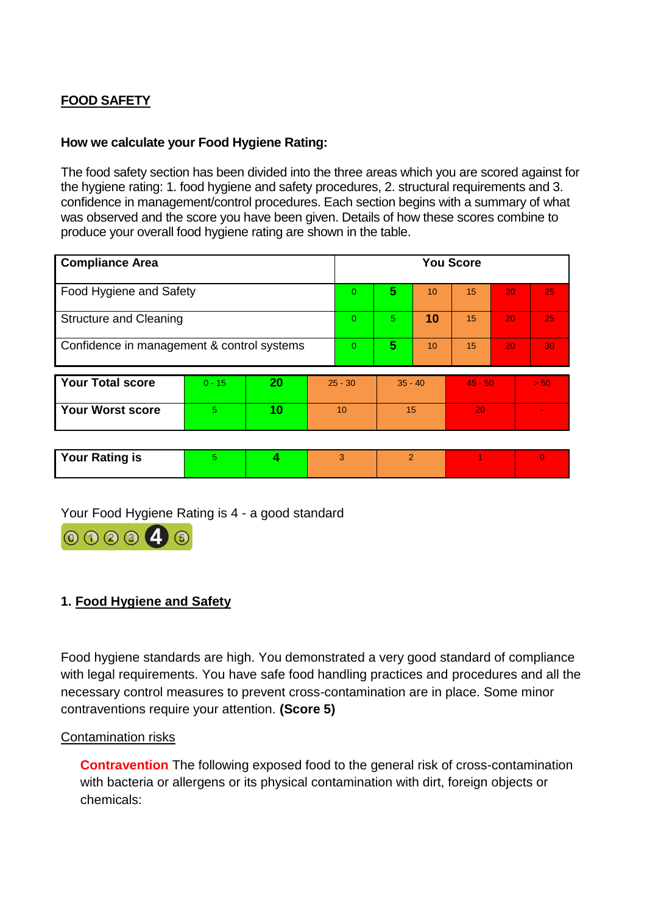## **FOOD SAFETY**

## **How we calculate your Food Hygiene Rating:**

The food safety section has been divided into the three areas which you are scored against for the hygiene rating: 1. food hygiene and safety procedures, 2. structural requirements and 3. confidence in management/control procedures. Each section begins with a summary of what was observed and the score you have been given. Details of how these scores combine to produce your overall food hygiene rating are shown in the table.

| <b>Compliance Area</b>                     |          |    |                |           |           |    | <b>You Score</b> |                 |      |
|--------------------------------------------|----------|----|----------------|-----------|-----------|----|------------------|-----------------|------|
| Food Hygiene and Safety                    |          |    | $\Omega$       | 5         | 10        | 15 | 20               | 25              |      |
| <b>Structure and Cleaning</b>              |          |    | $\overline{0}$ | 5.        | 10        | 15 | 20               | 25 <sub>1</sub> |      |
| Confidence in management & control systems |          |    | $\Omega$       | 5         | 10        | 15 | 20               | 30 <sub>1</sub> |      |
|                                            |          |    |                |           |           |    |                  |                 |      |
| <b>Your Total score</b>                    | $0 - 15$ | 20 |                | $25 - 30$ | $35 - 40$ |    | $45 - 50$        |                 | > 50 |
| <b>Your Worst score</b>                    | 5        | 10 |                | 10        | 15        |    | 20               |                 |      |
|                                            |          |    |                |           |           |    |                  |                 |      |

| <b>Your Rating is</b> |  |  |  |  |  |  |
|-----------------------|--|--|--|--|--|--|
|-----------------------|--|--|--|--|--|--|

Your Food Hygiene Rating is 4 - a good standard

| 000046 |  |
|--------|--|
|--------|--|

## **1. Food Hygiene and Safety**

Food hygiene standards are high. You demonstrated a very good standard of compliance with legal requirements. You have safe food handling practices and procedures and all the necessary control measures to prevent cross-contamination are in place. Some minor contraventions require your attention. **(Score 5)**

#### Contamination risks

**Contravention** The following exposed food to the general risk of cross-contamination with bacteria or allergens or its physical contamination with dirt, foreign objects or chemicals: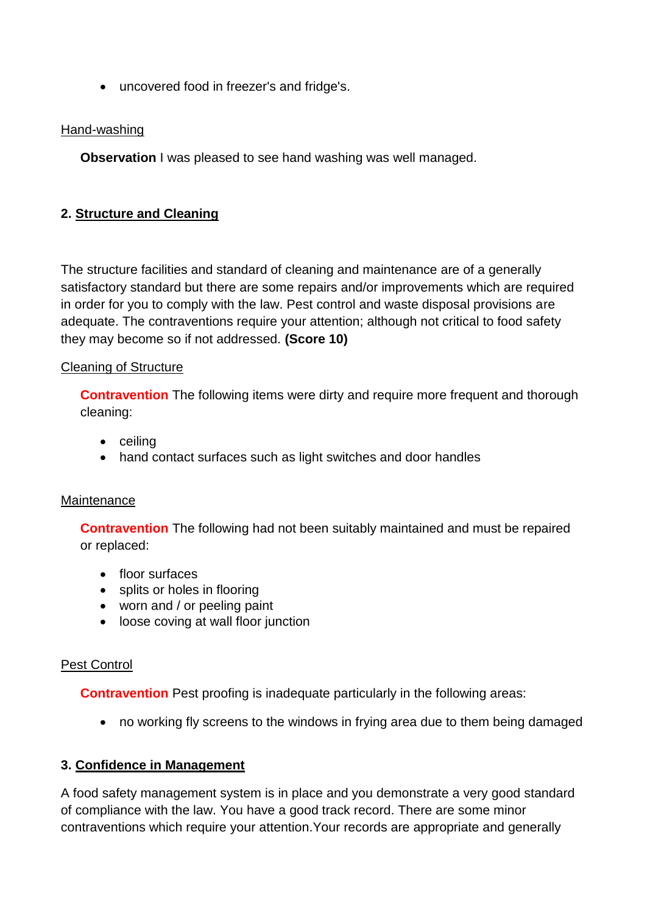uncovered food in freezer's and fridge's.

## Hand-washing

**Observation** I was pleased to see hand washing was well managed.

## **2. Structure and Cleaning**

The structure facilities and standard of cleaning and maintenance are of a generally satisfactory standard but there are some repairs and/or improvements which are required in order for you to comply with the law. Pest control and waste disposal provisions are adequate. The contraventions require your attention; although not critical to food safety they may become so if not addressed. **(Score 10)**

## Cleaning of Structure

**Contravention** The following items were dirty and require more frequent and thorough cleaning:

- ceiling
- hand contact surfaces such as light switches and door handles

## **Maintenance**

**Contravention** The following had not been suitably maintained and must be repaired or replaced:

- floor surfaces
- splits or holes in flooring
- worn and / or peeling paint
- loose coving at wall floor junction

## Pest Control

**Contravention** Pest proofing is inadequate particularly in the following areas:

no working fly screens to the windows in frying area due to them being damaged

## **3. Confidence in Management**

A food safety management system is in place and you demonstrate a very good standard of compliance with the law. You have a good track record. There are some minor contraventions which require your attention.Your records are appropriate and generally